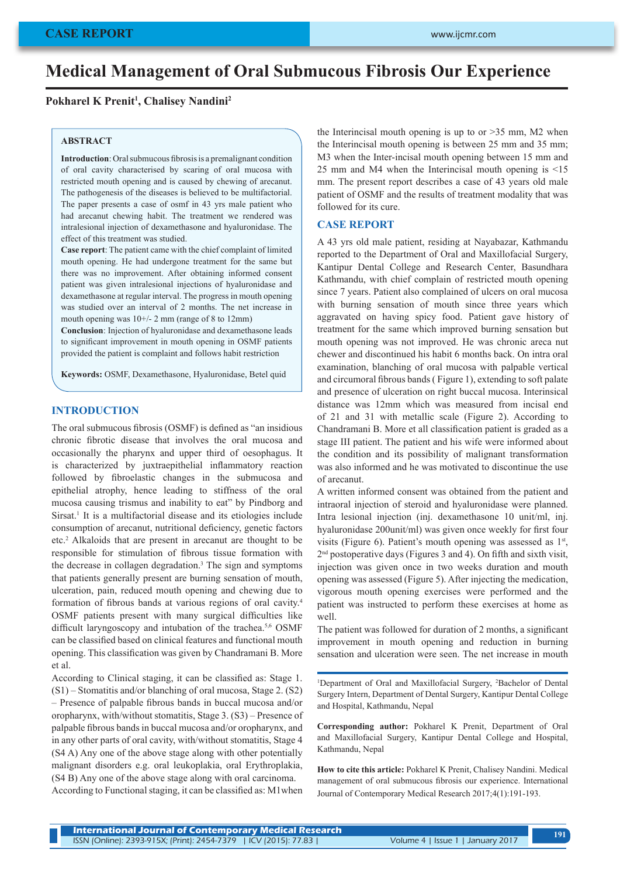# **Medical Management of Oral Submucous Fibrosis Our Experience**

# **Pokharel K Prenit1 , Chalisey Nandini2**

#### **ABSTRACT**

**Introduction**: Oral submucous fibrosis is a premalignant condition of oral cavity characterised by scaring of oral mucosa with restricted mouth opening and is caused by chewing of arecanut. The pathogenesis of the diseases is believed to be multifactorial. The paper presents a case of osmf in 43 yrs male patient who had arecanut chewing habit. The treatment we rendered was intralesional injection of dexamethasone and hyaluronidase. The effect of this treatment was studied.

**Case report**: The patient came with the chief complaint of limited mouth opening. He had undergone treatment for the same but there was no improvement. After obtaining informed consent patient was given intralesional injections of hyaluronidase and dexamethasone at regular interval. The progress in mouth opening was studied over an interval of 2 months. The net increase in mouth opening was 10+/- 2 mm (range of 8 to 12mm)

**Conclusion**: Injection of hyaluronidase and dexamethasone leads to significant improvement in mouth opening in OSMF patients provided the patient is complaint and follows habit restriction

**Keywords:** OSMF, Dexamethasone, Hyaluronidase, Betel quid

### **INTRODUCTION**

The oral submucous fibrosis (OSMF) is defined as "an insidious chronic fibrotic disease that involves the oral mucosa and occasionally the pharynx and upper third of oesophagus. It is characterized by juxtraepithelial inflammatory reaction followed by fibroelastic changes in the submucosa and epithelial atrophy, hence leading to stiffness of the oral mucosa causing trismus and inability to eat" by Pindborg and Sirsat.<sup>1</sup> It is a multifactorial disease and its etiologies include consumption of arecanut, nutritional deficiency, genetic factors etc.2 Alkaloids that are present in arecanut are thought to be responsible for stimulation of fibrous tissue formation with the decrease in collagen degradation.3 The sign and symptoms that patients generally present are burning sensation of mouth, ulceration, pain, reduced mouth opening and chewing due to formation of fibrous bands at various regions of oral cavity.4 OSMF patients present with many surgical difficulties like difficult laryngoscopy and intubation of the trachea.<sup>5,6</sup> OSMF can be classified based on clinical features and functional mouth opening. This classification was given by Chandramani B. More et al.

According to Clinical staging, it can be classified as: Stage 1. (S1) – Stomatitis and/or blanching of oral mucosa, Stage 2. (S2) – Presence of palpable fibrous bands in buccal mucosa and/or oropharynx, with/without stomatitis, Stage 3. (S3) – Presence of palpable fibrous bands in buccal mucosa and/or oropharynx, and in any other parts of oral cavity, with/without stomatitis, Stage 4 (S4 A) Any one of the above stage along with other potentially malignant disorders e.g. oral leukoplakia, oral Erythroplakia, (S4 B) Any one of the above stage along with oral carcinoma.

According to Functional staging, it can be classified as: M1when

the Interincisal mouth opening is up to or  $>35$  mm, M2 when the Interincisal mouth opening is between 25 mm and 35 mm; M3 when the Inter-incisal mouth opening between 15 mm and 25 mm and M4 when the Interincisal mouth opening is <15 mm. The present report describes a case of 43 years old male patient of OSMF and the results of treatment modality that was followed for its cure.

# **CASE REPORT**

A 43 yrs old male patient, residing at Nayabazar, Kathmandu reported to the Department of Oral and Maxillofacial Surgery, Kantipur Dental College and Research Center, Basundhara Kathmandu, with chief complain of restricted mouth opening since 7 years. Patient also complained of ulcers on oral mucosa with burning sensation of mouth since three years which aggravated on having spicy food. Patient gave history of treatment for the same which improved burning sensation but mouth opening was not improved. He was chronic areca nut chewer and discontinued his habit 6 months back. On intra oral examination, blanching of oral mucosa with palpable vertical and circumoral fibrous bands ( Figure 1), extending to soft palate and presence of ulceration on right buccal mucosa. Interinsical distance was 12mm which was measured from incisal end of 21 and 31 with metallic scale (Figure 2). According to Chandramani B. More et all classification patient is graded as a stage III patient. The patient and his wife were informed about the condition and its possibility of malignant transformation was also informed and he was motivated to discontinue the use of arecanut.

A written informed consent was obtained from the patient and intraoral injection of steroid and hyaluronidase were planned. Intra lesional injection (inj. dexamethasone 10 unit/ml, inj. hyaluronidase 200unit/ml) was given once weekly for first four visits (Figure 6). Patient's mouth opening was assessed as  $1<sup>st</sup>$ , 2nd postoperative days (Figures 3 and 4). On fifth and sixth visit, injection was given once in two weeks duration and mouth opening was assessed (Figure 5). After injecting the medication, vigorous mouth opening exercises were performed and the patient was instructed to perform these exercises at home as well.

The patient was followed for duration of 2 months, a significant improvement in mouth opening and reduction in burning sensation and ulceration were seen. The net increase in mouth

<sup>1</sup>Department of Oral and Maxillofacial Surgery, <sup>2</sup>Bachelor of Dental Surgery Intern, Department of Dental Surgery, Kantipur Dental College and Hospital, Kathmandu, Nepal

**Corresponding author:** Pokharel K Prenit, Department of Oral and Maxillofacial Surgery, Kantipur Dental College and Hospital, Kathmandu, Nepal

**How to cite this article:** Pokharel K Prenit, Chalisey Nandini. Medical management of oral submucous fibrosis our experience. International Journal of Contemporary Medical Research 2017;4(1):191-193.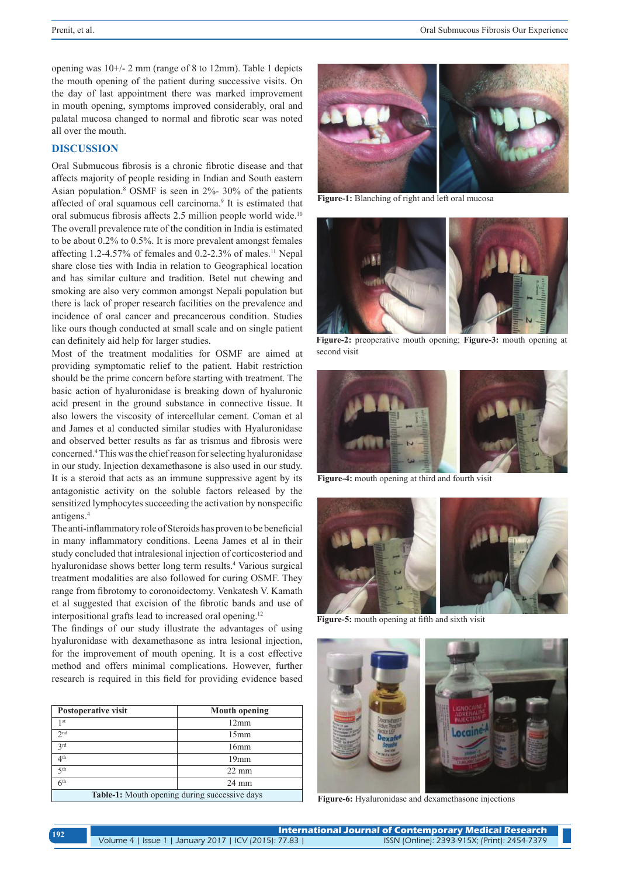opening was 10+/- 2 mm (range of 8 to 12mm). Table 1 depicts the mouth opening of the patient during successive visits. On the day of last appointment there was marked improvement in mouth opening, symptoms improved considerably, oral and palatal mucosa changed to normal and fibrotic scar was noted all over the mouth.

# **DISCUSSION**

Oral Submucous fibrosis is a chronic fibrotic disease and that affects majority of people residing in Indian and South eastern Asian population.8 OSMF is seen in 2%- 30% of the patients affected of oral squamous cell carcinoma.<sup>9</sup> It is estimated that oral submucus fibrosis affects 2.5 million people world wide.10 The overall prevalence rate of the condition in India is estimated to be about 0.2% to 0.5%. It is more prevalent amongst females affecting 1.2-4.57% of females and 0.2-2.3% of males.11 Nepal share close ties with India in relation to Geographical location and has similar culture and tradition. Betel nut chewing and smoking are also very common amongst Nepali population but there is lack of proper research facilities on the prevalence and incidence of oral cancer and precancerous condition. Studies like ours though conducted at small scale and on single patient can definitely aid help for larger studies.

Most of the treatment modalities for OSMF are aimed at providing symptomatic relief to the patient. Habit restriction should be the prime concern before starting with treatment. The basic action of hyaluronidase is breaking down of hyaluronic acid present in the ground substance in connective tissue. It also lowers the viscosity of intercellular cement. Coman et al and James et al conducted similar studies with Hyaluronidase and observed better results as far as trismus and fibrosis were concerned.4 This was the chief reason for selecting hyaluronidase in our study. Injection dexamethasone is also used in our study. It is a steroid that acts as an immune suppressive agent by its antagonistic activity on the soluble factors released by the sensitized lymphocytes succeeding the activation by nonspecific antigens.4

The anti-inflammatory role of Steroids has proven to be beneficial in many inflammatory conditions. Leena James et al in their study concluded that intralesional injection of corticosteriod and hyaluronidase shows better long term results.<sup>4</sup> Various surgical treatment modalities are also followed for curing OSMF. They range from fibrotomy to coronoidectomy. Venkatesh V. Kamath et al suggested that excision of the fibrotic bands and use of interpositional grafts lead to increased oral opening.12

The findings of our study illustrate the advantages of using hyaluronidase with dexamethasone as intra lesional injection, for the improvement of mouth opening. It is a cost effective method and offers minimal complications. However, further research is required in this field for providing evidence based

| Postoperative visit                           | <b>Mouth opening</b> |
|-----------------------------------------------|----------------------|
| 1 <sup>st</sup>                               | 12mm                 |
| 2 <sub>nd</sub>                               | 15mm                 |
| 2rd                                           | 16mm                 |
| 4 <sup>th</sup>                               | 19mm                 |
| 5 <sup>th</sup>                               | $22 \text{ mm}$      |
| 6 <sup>th</sup>                               | $24 \text{ mm}$      |
| Table-1: Mouth opening during successive days |                      |



**Figure-1:** Blanching of right and left oral mucosa



**Figure-2:** preoperative mouth opening; **Figure-3:** mouth opening at second visit



**Figure-4:** mouth opening at third and fourth visit



**Figure-5:** mouth opening at fifth and sixth visit



**Figure-6:** Hyaluronidase and dexamethasone injections